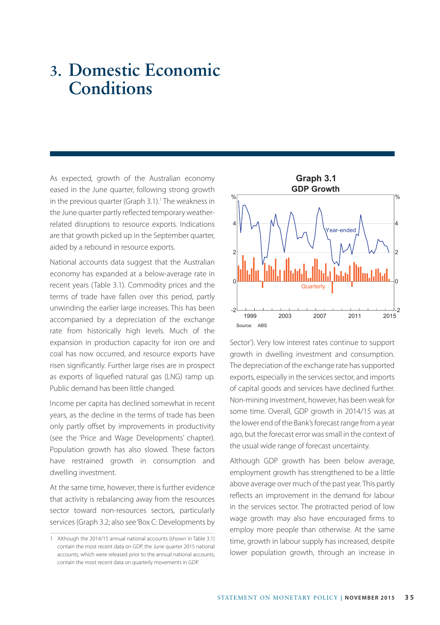# **3. Domestic Economic Conditions**

As expected, growth of the Australian economy eased in the June quarter, following strong growth in the previous quarter (Graph 3.1).<sup>1</sup> The weakness in the June quarter partly reflected temporary weatherrelated disruptions to resource exports. Indications are that growth picked up in the September quarter, aided by a rebound in resource exports.

National accounts data suggest that the Australian economy has expanded at a below-average rate in recent years (Table 3.1). Commodity prices and the terms of trade have fallen over this period, partly unwinding the earlier large increases. This has been accompanied by a depreciation of the exchange rate from historically high levels. Much of the expansion in production capacity for iron ore and coal has now occurred, and resource exports have risen significantly. Further large rises are in prospect as exports of liquefied natural gas (LNG) ramp up. Public demand has been little changed.

Income per capita has declined somewhat in recent years, as the decline in the terms of trade has been only partly offset by improvements in productivity (see the 'Price and Wage Developments' chapter). Population growth has also slowed. These factors have restrained growth in consumption and dwelling investment.

At the same time, however, there is further evidence that activity is rebalancing away from the resources sector toward non-resources sectors, particularly services (Graph 3.2; also see 'Box C: Developments by



Sector'). Very low interest rates continue to support growth in dwelling investment and consumption. The depreciation of the exchange rate has supported exports, especially in the services sector, and imports of capital goods and services have declined further. Non-mining investment, however, has been weak for some time. Overall, GDP growth in 2014/15 was at the lower end of the Bank's forecast range from a year ago, but the forecast error was small in the context of the usual wide range of forecast uncertainty.

Although GDP growth has been below average, employment growth has strengthened to be a little above average over much of the past year. This partly reflects an improvement in the demand for labour in the services sector. The protracted period of low wage growth may also have encouraged firms to employ more people than otherwise. At the same time, growth in labour supply has increased, despite lower population growth, through an increase in

<sup>1</sup> Although the 2014/15 annual national accounts (shown in Table 3.1) contain the most recent data on GDP, the June quarter 2015 national accounts, which were released prior to the annual national accounts, contain the most recent data on quarterly movements in GDP.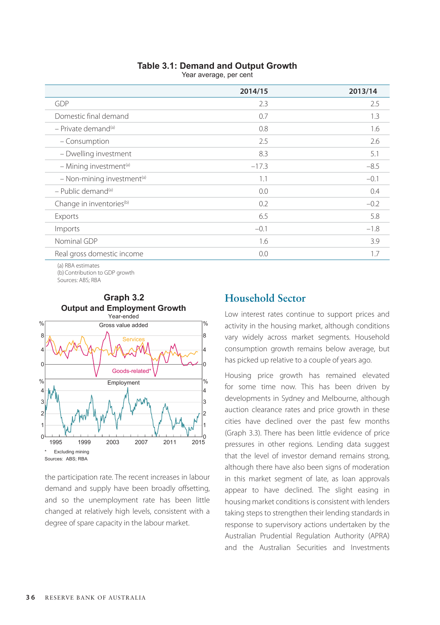| <b>Table 3.1: Demand and Output Growth</b> |  |  |  |  |
|--------------------------------------------|--|--|--|--|
|--------------------------------------------|--|--|--|--|

Year average, per cent

|                                        | 2014/15 | 2013/14 |
|----------------------------------------|---------|---------|
| GDP                                    | 2.3     | 2.5     |
| Domestic final demand                  | 0.7     | 1.3     |
| $-$ Private demand <sup>(a)</sup>      | 0.8     | 1.6     |
| - Consumption                          | 2.5     | 2.6     |
| - Dwelling investment                  | 8.3     | 5.1     |
| - Mining investment <sup>(a)</sup>     | $-17.3$ | $-8.5$  |
| - Non-mining investment <sup>(a)</sup> | 1.1     | $-0.1$  |
| $-$ Public demand <sup>(a)</sup>       | 0.0     | 0.4     |
| Change in inventories <sup>(b)</sup>   | 0.2     | $-0.2$  |
| Exports                                | 6.5     | 5.8     |
| Imports                                | $-0.1$  | $-1.8$  |
| Nominal GDP                            | 1.6     | 3.9     |
| Real gross domestic income             | 0.0     | 1.7     |
|                                        |         |         |

(a) RBA estimates (b) Contribution to GDP growth Sources: ABS; RBA



**Graph 3.2**

the participation rate. The recent increases in labour demand and supply have been broadly offsetting, and so the unemployment rate has been little changed at relatively high levels, consistent with a degree of spare capacity in the labour market.

## **Household Sector**

Low interest rates continue to support prices and activity in the housing market, although conditions vary widely across market segments. Household consumption growth remains below average, but has picked up relative to a couple of years ago.

Housing price growth has remained elevated for some time now. This has been driven by developments in Sydney and Melbourne, although auction clearance rates and price growth in these cities have declined over the past few months (Graph 3.3). There has been little evidence of price pressures in other regions. Lending data suggest that the level of investor demand remains strong, although there have also been signs of moderation in this market segment of late, as loan approvals appear to have declined. The slight easing in housing market conditions is consistent with lenders taking steps to strengthen their lending standards in response to supervisory actions undertaken by the Australian Prudential Regulation Authority (APRA) and the Australian Securities and Investments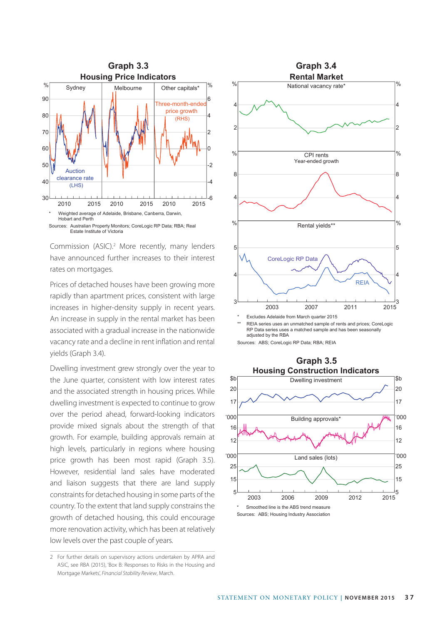

Commission (ASIC).<sup>2</sup> More recently, many lenders have announced further increases to their interest rates on mortgages.

Prices of detached houses have been growing more rapidly than apartment prices, consistent with large increases in higher-density supply in recent years. An increase in supply in the rental market has been associated with a gradual increase in the nationwide vacancy rate and a decline in rent inflation and rental yields (Graph 3.4).

Dwelling investment grew strongly over the year to the June quarter, consistent with low interest rates and the associated strength in housing prices. While dwelling investment is expected to continue to grow over the period ahead, forward-looking indicators provide mixed signals about the strength of that growth. For example, building approvals remain at high levels, particularly in regions where housing price growth has been most rapid (Graph 3.5). However, residential land sales have moderated and liaison suggests that there are land supply constraints for detached housing in some parts of the country. To the extent that land supply constrains the growth of detached housing, this could encourage more renovation activity, which has been at relatively low levels over the past couple of years.



Sources: ABS; CoreLogic RP Data; RBA; REIA



<sup>2</sup> For further details on supervisory actions undertaken by APRA and ASIC, see RBA (2015), 'Box B: Responses to Risks in the Housing and Mortgage Markets', *Financial Stability Review*, March.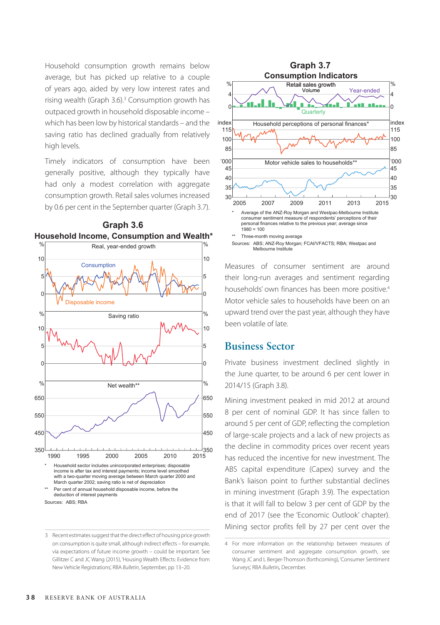Household consumption growth remains below average, but has picked up relative to a couple of years ago, aided by very low interest rates and rising wealth (Graph 3.6).<sup>3</sup> Consumption growth has outpaced growth in household disposable income – which has been low by historical standards – and the saving ratio has declined gradually from relatively high levels.

Timely indicators of consumption have been generally positive, although they typically have had only a modest correlation with aggregate consumption growth. Retail sales volumes increased by 0.6 per cent in the September quarter (Graph 3.7).

**Graph 3.6**



<sup>3</sup> Recent estimates suggest that the direct effect of housing price growth on consumption is quite small, although indirect effects – for example, via expectations of future income growth – could be important. See Gillitzer C and JC Wang (2015), 'Housing Wealth Effects: Evidence from New Vehicle Registrations', RBA *Bulletin*, September, pp 13–20.



Measures of consumer sentiment are around their long-run averages and sentiment regarding households' own finances has been more positive.4 Motor vehicle sales to households have been on an upward trend over the past year, although they have been volatile of late.

#### **Business Sector**

Private business investment declined slightly in the June quarter, to be around 6 per cent lower in 2014/15 (Graph 3.8).

Mining investment peaked in mid 2012 at around 8 per cent of nominal GDP. It has since fallen to around 5 per cent of GDP, reflecting the completion of large-scale projects and a lack of new projects as the decline in commodity prices over recent years has reduced the incentive for new investment. The ABS capital expenditure (Capex) survey and the Bank's liaison point to further substantial declines in mining investment (Graph 3.9). The expectation is that it will fall to below 3 per cent of GDP by the end of 2017 (see the 'Economic Outlook' chapter). Mining sector profits fell by 27 per cent over the

<sup>4</sup> For more information on the relationship between measures of consumer sentiment and aggregate consumption growth, see Wang JC and L Berger-Thomson (forthcoming), 'Consumer Sentiment Surveys', RBA *Bulletin,* December.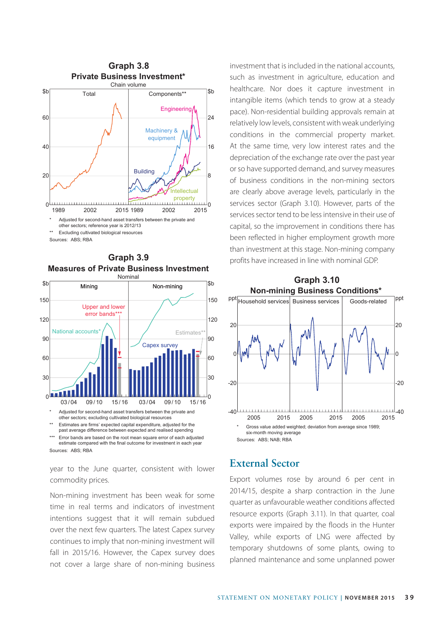



estimate compared with the final outcome for investment in each year Sources: ABS; RBA

year to the June quarter, consistent with lower commodity prices.

Non-mining investment has been weak for some time in real terms and indicators of investment intentions suggest that it will remain subdued over the next few quarters. The latest Capex survey continues to imply that non-mining investment will fall in 2015/16. However, the Capex survey does not cover a large share of non-mining business investment that is included in the national accounts, such as investment in agriculture, education and healthcare. Nor does it capture investment in intangible items (which tends to grow at a steady pace). Non-residential building approvals remain at relatively low levels, consistent with weak underlying conditions in the commercial property market. At the same time, very low interest rates and the depreciation of the exchange rate over the past year or so have supported demand, and survey measures of business conditions in the non-mining sectors are clearly above average levels, particularly in the services sector (Graph 3.10). However, parts of the services sector tend to be less intensive in their use of capital, so the improvement in conditions there has been reflected in higher employment growth more than investment at this stage. Non-mining company profits have increased in line with nominal GDP.



## **External Sector**

Export volumes rose by around 6 per cent in 2014/15, despite a sharp contraction in the June quarter as unfavourable weather conditions affected resource exports (Graph 3.11). In that quarter, coal exports were impaired by the floods in the Hunter Valley, while exports of LNG were affected by temporary shutdowns of some plants, owing to planned maintenance and some unplanned power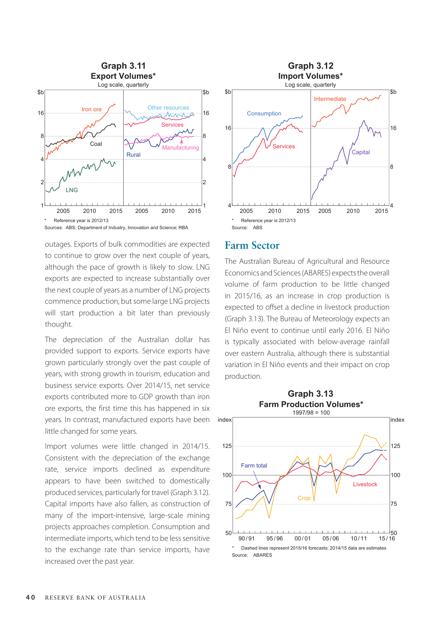

Sources: ABS; Department of Industry, Innovation and Science; RBA

outages. Exports of bulk commodities are expected to continue to grow over the next couple of years, although the pace of growth is likely to slow. LNG exports are expected to increase substantially over the next couple of years as a number of LNG projects commence production, but some large LNG projects will start production a bit later than previously thought.

The depreciation of the Australian dollar has provided support to exports. Service exports have grown particularly strongly over the past couple of years, with strong growth in tourism, education and business service exports. Over 2014/15, net service exports contributed more to GDP growth than iron ore exports, the first time this has happened in six years. In contrast, manufactured exports have been little changed for some years.

Import volumes were little changed in 2014/15. Consistent with the depreciation of the exchange rate, service imports declined as expenditure appears to have been switched to domestically produced services, particularly for travel (Graph 3.12). Capital imports have also fallen, as construction of many of the import-intensive, large-scale mining projects approaches completion. Consumption and intermediate imports, which tend to be less sensitive to the exchange rate than service imports, have increased over the past year.



#### **Farm Sector**

The Australian Bureau of Agricultural and Resource Economics and Sciences (ABARES) expects the overall volume of farm production to be little changed in 2015/16, as an increase in crop production is expected to offset a decline in livestock production (Graph 3.13). The Bureau of Meteorology expects an El Niño event to continue until early 2016. El Niño is typically associated with below-average rainfall over eastern Australia, although there is substantial variation in El Niño events and their impact on crop production.

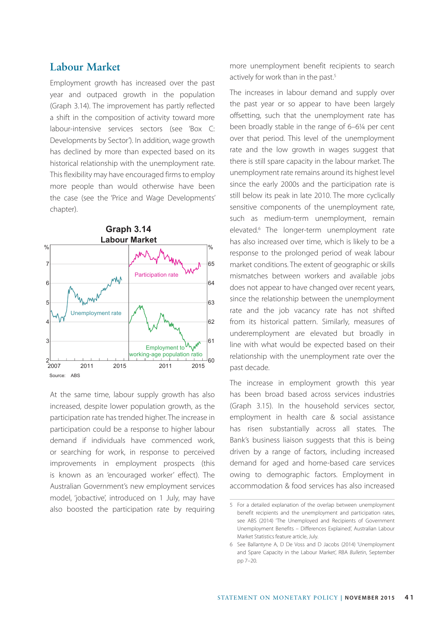### **Labour Market**

Employment growth has increased over the past year and outpaced growth in the population (Graph 3.14). The improvement has partly reflected a shift in the composition of activity toward more labour-intensive services sectors (see 'Box C: Developments by Sector'). In addition, wage growth has declined by more than expected based on its historical relationship with the unemployment rate. This flexibility may have encouraged firms to employ more people than would otherwise have been the case (see the 'Price and Wage Developments' chapter).



At the same time, labour supply growth has also increased, despite lower population growth, as the participation rate has trended higher. The increase in participation could be a response to higher labour demand if individuals have commenced work, or searching for work, in response to perceived improvements in employment prospects (this is known as an 'encouraged worker' effect). The Australian Government's new employment services model, 'jobactive', introduced on 1 July, may have also boosted the participation rate by requiring more unemployment benefit recipients to search actively for work than in the past.<sup>5</sup>

The increases in labour demand and supply over the past year or so appear to have been largely offsetting, such that the unemployment rate has been broadly stable in the range of 6–6¼ per cent over that period. This level of the unemployment rate and the low growth in wages suggest that there is still spare capacity in the labour market. The unemployment rate remains around its highest level since the early 2000s and the participation rate is still below its peak in late 2010. The more cyclically sensitive components of the unemployment rate, such as medium-term unemployment, remain elevated.6 The longer-term unemployment rate has also increased over time, which is likely to be a response to the prolonged period of weak labour market conditions. The extent of geographic or skills mismatches between workers and available jobs does not appear to have changed over recent years, since the relationship between the unemployment rate and the job vacancy rate has not shifted from its historical pattern. Similarly, measures of underemployment are elevated but broadly in line with what would be expected based on their relationship with the unemployment rate over the past decade.

The increase in employment growth this year has been broad based across services industries (Graph 3.15). In the household services sector, employment in health care & social assistance has risen substantially across all states. The Bank's business liaison suggests that this is being driven by a range of factors, including increased demand for aged and home-based care services owing to demographic factors. Employment in accommodation & food services has also increased

<sup>5</sup> For a detailed explanation of the overlap between unemployment benefit recipients and the unemployment and participation rates, see ABS (2014) 'The Unemployed and Recipients of Government Unemployment Benefits – Differences Explained', Australian Labour Market Statistics feature article, July.

<sup>6</sup> See Ballantyne A, D De Voss and D Jacobs (2014) 'Unemployment and Spare Capacity in the Labour Market', RBA *Bulletin*, September pp 7–20.